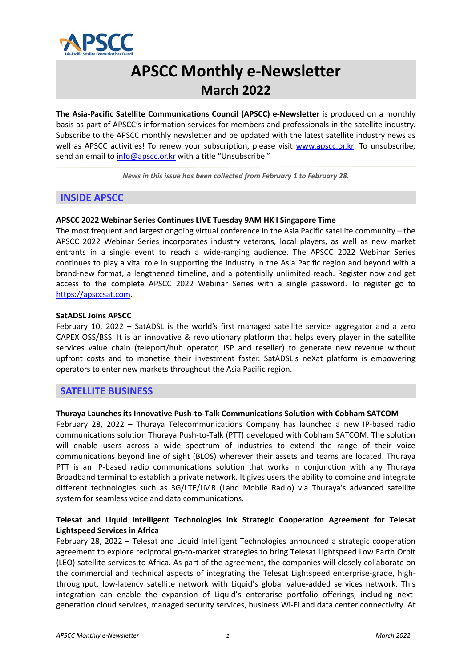

# **APSCC Monthly e‐Newsletter March 2022**

**The Asia‐Pacific Satellite Communications Council (APSCC) e‐Newsletter** is produced on a monthly basis as part of APSCC's information services for members and professionals in the satellite industry. Subscribe to the APSCC monthly newsletter and be updated with the latest satellite industry news as well as APSCC activities! To renew your subscription, please visit www.apscc.or.kr. To unsubscribe, send an email to info@apscc.or.kr with a title "Unsubscribe."

*News in this issue has been collected from February 1 to February 28.*

# **INSIDE APSCC**

# **APSCC 2022 Webinar Series Continues LIVE Tuesday 9AM HK l Singapore Time**

The most frequent and largest ongoing virtual conference in the Asia Pacific satellite community – the APSCC 2022 Webinar Series incorporates industry veterans, local players, as well as new market entrants in a single event to reach a wide-ranging audience. The APSCC 2022 Webinar Series continues to play a vital role in supporting the industry in the Asia Pacific region and beyond with a brand‐new format, a lengthened timeline, and a potentially unlimited reach. Register now and get access to the complete APSCC 2022 Webinar Series with a single password. To register go to https://apsccsat.com.

#### **SatADSL Joins APSCC**

February 10, 2022 – SatADSL is the world's first managed satellite service aggregator and a zero CAPEX OSS/BSS. It is an innovative & revolutionary platform that helps every player in the satellite services value chain (teleport/hub operator, ISP and reseller) to generate new revenue without upfront costs and to monetise their investment faster. SatADSL's neXat platform is empowering operators to enter new markets throughout the Asia Pacific region.

# **SATELLITE BUSINESS**

#### **Thuraya Launches its Innovative Push‐to‐Talk Communications Solution with Cobham SATCOM**

February 28, 2022 – Thuraya Telecommunications Company has launched a new IP-based radio communications solution Thuraya Push‐to‐Talk (PTT) developed with Cobham SATCOM. The solution will enable users across a wide spectrum of industries to extend the range of their voice communications beyond line of sight (BLOS) wherever their assets and teams are located. Thuraya PTT is an IP-based radio communications solution that works in conjunction with any Thuraya Broadband terminal to establish a private network. It gives users the ability to combine and integrate different technologies such as 3G/LTE/LMR (Land Mobile Radio) via Thuraya's advanced satellite system for seamless voice and data communications.

# **Telesat and Liquid Intelligent Technologies Ink Strategic Cooperation Agreement for Telesat Lightspeed Services in Africa**

February 28, 2022 – Telesat and Liquid Intelligent Technologies announced a strategic cooperation agreement to explore reciprocal go-to-market strategies to bring Telesat Lightspeed Low Earth Orbit (LEO) satellite services to Africa. As part of the agreement, the companies will closely collaborate on the commercial and technical aspects of integrating the Telesat Lightspeed enterprise-grade, highthroughput, low‐latency satellite network with Liquid's global value‐added services network. This integration can enable the expansion of Liquid's enterprise portfolio offerings, including nextgeneration cloud services, managed security services, business Wi‐Fi and data center connectivity. At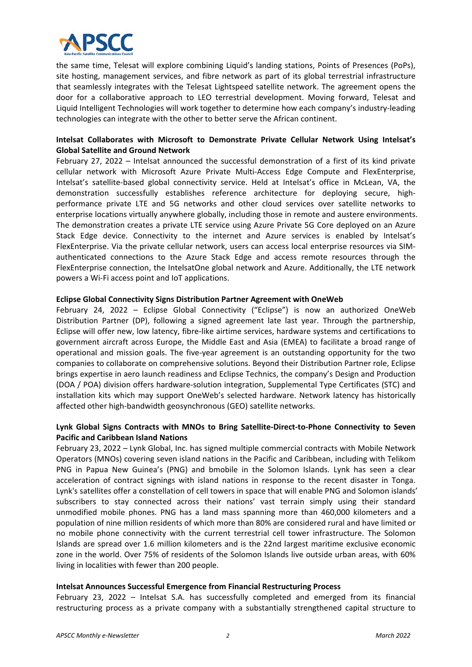

the same time, Telesat will explore combining Liquid's landing stations, Points of Presences (PoPs), site hosting, management services, and fibre network as part of its global terrestrial infrastructure that seamlessly integrates with the Telesat Lightspeed satellite network. The agreement opens the door for a collaborative approach to LEO terrestrial development. Moving forward, Telesat and Liquid Intelligent Technologies will work together to determine how each company's industry‐leading technologies can integrate with the other to better serve the African continent.

# **Intelsat Collaborates with Microsoft to Demonstrate Private Cellular Network Using Intelsat's Global Satellite and Ground Network**

February 27, 2022 – Intelsat announced the successful demonstration of a first of its kind private cellular network with Microsoft Azure Private Multi‐Access Edge Compute and FlexEnterprise, Intelsat's satellite-based global connectivity service. Held at Intelsat's office in McLean, VA, the demonstration successfully establishes reference architecture for deploying secure, highperformance private LTE and 5G networks and other cloud services over satellite networks to enterprise locations virtually anywhere globally, including those in remote and austere environments. The demonstration creates a private LTE service using Azure Private 5G Core deployed on an Azure Stack Edge device. Connectivity to the internet and Azure services is enabled by Intelsat's FlexEnterprise. Via the private cellular network, users can access local enterprise resources via SIM‐ authenticated connections to the Azure Stack Edge and access remote resources through the FlexEnterprise connection, the IntelsatOne global network and Azure. Additionally, the LTE network powers a Wi‐Fi access point and IoT applications.

#### **Eclipse Global Connectivity Signs Distribution Partner Agreement with OneWeb**

February 24, 2022 - Eclipse Global Connectivity ("Eclipse") is now an authorized OneWeb Distribution Partner (DP), following a signed agreement late last year. Through the partnership, Eclipse will offer new, low latency, fibre‐like airtime services, hardware systems and certifications to government aircraft across Europe, the Middle East and Asia (EMEA) to facilitate a broad range of operational and mission goals. The five‐year agreement is an outstanding opportunity for the two companies to collaborate on comprehensive solutions. Beyond their Distribution Partner role, Eclipse brings expertise in aero launch readiness and Eclipse Technics, the company's Design and Production (DOA / POA) division offers hardware‐solution integration, Supplemental Type Certificates (STC) and installation kits which may support OneWeb's selected hardware. Network latency has historically affected other high‐bandwidth geosynchronous (GEO) satellite networks.

# **Lynk Global Signs Contracts with MNOs to Bring Satellite‐Direct‐to‐Phone Connectivity to Seven Pacific and Caribbean Island Nations**

February 23, 2022 – Lynk Global, Inc. has signed multiple commercial contracts with Mobile Network Operators (MNOs) covering seven island nations in the Pacific and Caribbean, including with Telikom PNG in Papua New Guinea's (PNG) and bmobile in the Solomon Islands. Lynk has seen a clear acceleration of contract signings with island nations in response to the recent disaster in Tonga. Lynk's satellites offer a constellation of cell towers in space that will enable PNG and Solomon islands' subscribers to stay connected across their nations' vast terrain simply using their standard unmodified mobile phones. PNG has a land mass spanning more than 460,000 kilometers and a population of nine million residents of which more than 80% are considered rural and have limited or no mobile phone connectivity with the current terrestrial cell tower infrastructure. The Solomon Islands are spread over 1.6 million kilometers and is the 22nd largest maritime exclusive economic zone in the world. Over 75% of residents of the Solomon Islands live outside urban areas, with 60% living in localities with fewer than 200 people.

#### **Intelsat Announces Successful Emergence from Financial Restructuring Process**

February 23, 2022 – Intelsat S.A. has successfully completed and emerged from its financial restructuring process as a private company with a substantially strengthened capital structure to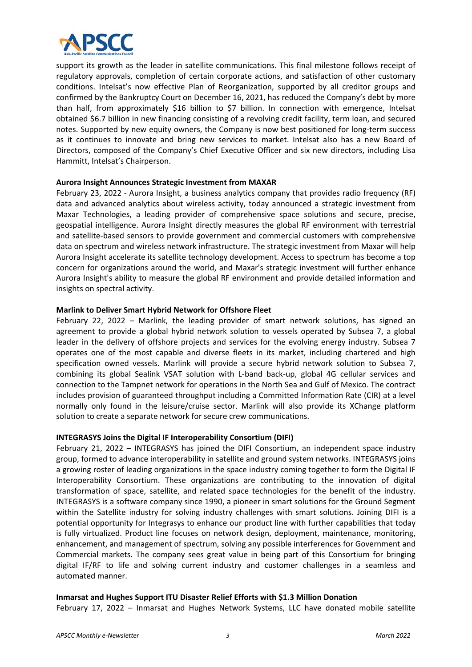

support its growth as the leader in satellite communications. This final milestone follows receipt of regulatory approvals, completion of certain corporate actions, and satisfaction of other customary conditions. Intelsat's now effective Plan of Reorganization, supported by all creditor groups and confirmed by the Bankruptcy Court on December 16, 2021, has reduced the Company's debt by more than half, from approximately \$16 billion to \$7 billion. In connection with emergence, Intelsat obtained \$6.7 billion in new financing consisting of a revolving credit facility, term loan, and secured notes. Supported by new equity owners, the Company is now best positioned for long-term success as it continues to innovate and bring new services to market. Intelsat also has a new Board of Directors, composed of the Company's Chief Executive Officer and six new directors, including Lisa Hammitt, Intelsat's Chairperson.

#### **Aurora Insight Announces Strategic Investment from MAXAR**

February 23, 2022 - Aurora Insight, a business analytics company that provides radio frequency (RF) data and advanced analytics about wireless activity, today announced a strategic investment from Maxar Technologies, a leading provider of comprehensive space solutions and secure, precise, geospatial intelligence. Aurora Insight directly measures the global RF environment with terrestrial and satellite‐based sensors to provide government and commercial customers with comprehensive data on spectrum and wireless network infrastructure. The strategic investment from Maxar will help Aurora Insight accelerate its satellite technology development. Access to spectrum has become a top concern for organizations around the world, and Maxar's strategic investment will further enhance Aurora Insight's ability to measure the global RF environment and provide detailed information and insights on spectral activity.

#### **Marlink to Deliver Smart Hybrid Network for Offshore Fleet**

February 22, 2022 - Marlink, the leading provider of smart network solutions, has signed an agreement to provide a global hybrid network solution to vessels operated by Subsea 7, a global leader in the delivery of offshore projects and services for the evolving energy industry. Subsea 7 operates one of the most capable and diverse fleets in its market, including chartered and high specification owned vessels. Marlink will provide a secure hybrid network solution to Subsea 7, combining its global Sealink VSAT solution with L-band back-up, global 4G cellular services and connection to the Tampnet network for operations in the North Sea and Gulf of Mexico. The contract includes provision of guaranteed throughput including a Committed Information Rate (CIR) at a level normally only found in the leisure/cruise sector. Marlink will also provide its XChange platform solution to create a separate network for secure crew communications.

#### **INTEGRASYS Joins the Digital IF Interoperability Consortium (DIFI)**

February 21, 2022 – INTEGRASYS has joined the DIFI Consortium, an independent space industry group, formed to advance interoperability in satellite and ground system networks. INTEGRASYS joins a growing roster of leading organizations in the space industry coming together to form the Digital IF Interoperability Consortium. These organizations are contributing to the innovation of digital transformation of space, satellite, and related space technologies for the benefit of the industry. INTEGRASYS is a software company since 1990, a pioneer in smart solutions for the Ground Segment within the Satellite industry for solving industry challenges with smart solutions. Joining DIFI is a potential opportunity for Integrasys to enhance our product line with further capabilities that today is fully virtualized. Product line focuses on network design, deployment, maintenance, monitoring, enhancement, and management of spectrum, solving any possible interferences for Government and Commercial markets. The company sees great value in being part of this Consortium for bringing digital IF/RF to life and solving current industry and customer challenges in a seamless and automated manner.

# **Inmarsat and Hughes Support ITU Disaster Relief Efforts with \$1.3 Million Donation**

February 17, 2022 - Inmarsat and Hughes Network Systems, LLC have donated mobile satellite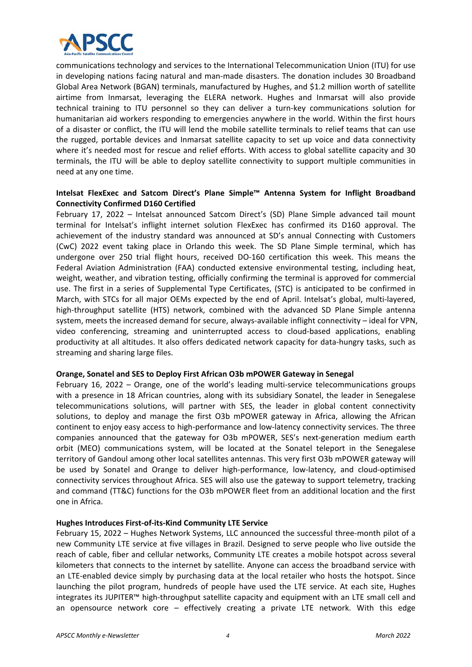

communications technology and services to the International Telecommunication Union (ITU) for use in developing nations facing natural and man-made disasters. The donation includes 30 Broadband Global Area Network (BGAN) terminals, manufactured by Hughes, and \$1.2 million worth of satellite airtime from Inmarsat, leveraging the ELERA network. Hughes and Inmarsat will also provide technical training to ITU personnel so they can deliver a turn-key communications solution for humanitarian aid workers responding to emergencies anywhere in the world. Within the first hours of a disaster or conflict, the ITU will lend the mobile satellite terminals to relief teams that can use the rugged, portable devices and Inmarsat satellite capacity to set up voice and data connectivity where it's needed most for rescue and relief efforts. With access to global satellite capacity and 30 terminals, the ITU will be able to deploy satellite connectivity to support multiple communities in need at any one time.

### **Intelsat FlexExec and Satcom Direct's Plane Simple™ Antenna System for Inflight Broadband Connectivity Confirmed D160 Certified**

February 17, 2022 - Intelsat announced Satcom Direct's (SD) Plane Simple advanced tail mount terminal for Intelsat's inflight internet solution FlexExec has confirmed its D160 approval. The achievement of the industry standard was announced at SD's annual Connecting with Customers (CwC) 2022 event taking place in Orlando this week. The SD Plane Simple terminal, which has undergone over 250 trial flight hours, received DO-160 certification this week. This means the Federal Aviation Administration (FAA) conducted extensive environmental testing, including heat, weight, weather, and vibration testing, officially confirming the terminal is approved for commercial use. The first in a series of Supplemental Type Certificates, (STC) is anticipated to be confirmed in March, with STCs for all major OEMs expected by the end of April. Intelsat's global, multi-layered, high-throughput satellite (HTS) network, combined with the advanced SD Plane Simple antenna system, meets the increased demand for secure, always-available inflight connectivity - ideal for VPN, video conferencing, streaming and uninterrupted access to cloud‐based applications, enabling productivity at all altitudes. It also offers dedicated network capacity for data‐hungry tasks, such as streaming and sharing large files.

#### **Orange, Sonatel and SES to Deploy First African O3b mPOWER Gateway in Senegal**

February 16, 2022 – Orange, one of the world's leading multi-service telecommunications groups with a presence in 18 African countries, along with its subsidiary Sonatel, the leader in Senegalese telecommunications solutions, will partner with SES, the leader in global content connectivity solutions, to deploy and manage the first O3b mPOWER gateway in Africa, allowing the African continent to enjoy easy access to high‐performance and low‐latency connectivity services. The three companies announced that the gateway for O3b mPOWER, SES's next-generation medium earth orbit (MEO) communications system, will be located at the Sonatel teleport in the Senegalese territory of Gandoul among other local satellites antennas. This very first O3b mPOWER gateway will be used by Sonatel and Orange to deliver high-performance, low-latency, and cloud-optimised connectivity services throughout Africa. SES will also use the gateway to support telemetry, tracking and command (TT&C) functions for the O3b mPOWER fleet from an additional location and the first one in Africa.

#### **Hughes Introduces First‐of‐its‐Kind Community LTE Service**

February 15, 2022 – Hughes Network Systems, LLC announced the successful three‐month pilot of a new Community LTE service at five villages in Brazil. Designed to serve people who live outside the reach of cable, fiber and cellular networks, Community LTE creates a mobile hotspot across several kilometers that connects to the internet by satellite. Anyone can access the broadband service with an LTE-enabled device simply by purchasing data at the local retailer who hosts the hotspot. Since launching the pilot program, hundreds of people have used the LTE service. At each site, Hughes integrates its JUPITER™ high‐throughput satellite capacity and equipment with an LTE small cell and an opensource network core - effectively creating a private LTE network. With this edge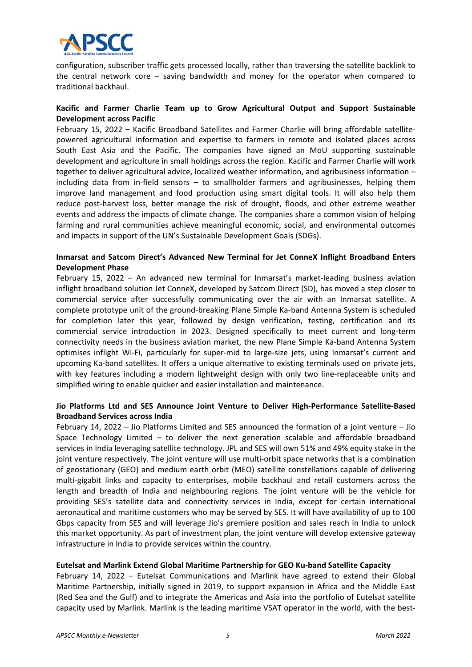

configuration, subscriber traffic gets processed locally, rather than traversing the satellite backlink to the central network core  $-$  saving bandwidth and money for the operator when compared to traditional backhaul.

#### **Kacific and Farmer Charlie Team up to Grow Agricultural Output and Support Sustainable Development across Pacific**

February 15, 2022 – Kacific Broadband Satellites and Farmer Charlie will bring affordable satellitepowered agricultural information and expertise to farmers in remote and isolated places across South East Asia and the Pacific. The companies have signed an MoU supporting sustainable development and agriculture in small holdings across the region. Kacific and Farmer Charlie will work together to deliver agricultural advice, localized weather information, and agribusiness information – including data from in-field sensors - to smallholder farmers and agribusinesses, helping them improve land management and food production using smart digital tools. It will also help them reduce post-harvest loss, better manage the risk of drought, floods, and other extreme weather events and address the impacts of climate change. The companies share a common vision of helping farming and rural communities achieve meaningful economic, social, and environmental outcomes and impacts in support of the UN's Sustainable Development Goals (SDGs).

# **Inmarsat and Satcom Direct's Advanced New Terminal for Jet ConneX Inflight Broadband Enters Development Phase**

February 15, 2022 - An advanced new terminal for Inmarsat's market-leading business aviation inflight broadband solution Jet ConneX, developed by Satcom Direct (SD), has moved a step closer to commercial service after successfully communicating over the air with an Inmarsat satellite. A complete prototype unit of the ground‐breaking Plane Simple Ka‐band Antenna System is scheduled for completion later this year, followed by design verification, testing, certification and its commercial service introduction in 2023. Designed specifically to meet current and long‐term connectivity needs in the business aviation market, the new Plane Simple Ka‐band Antenna System optimises inflight Wi‐Fi, particularly for super‐mid to large‐size jets, using Inmarsat's current and upcoming Ka‐band satellites. It offers a unique alternative to existing terminals used on private jets, with key features including a modern lightweight design with only two line-replaceable units and simplified wiring to enable quicker and easier installation and maintenance.

# **Jio Platforms Ltd and SES Announce Joint Venture to Deliver High‐Performance Satellite‐Based Broadband Services across India**

February 14, 2022 – Jio Platforms Limited and SES announced the formation of a joint venture – Jio Space Technology Limited  $-$  to deliver the next generation scalable and affordable broadband services in India leveraging satellite technology. JPL and SES will own 51% and 49% equity stake in the joint venture respectively. The joint venture will use multi-orbit space networks that is a combination of geostationary (GEO) and medium earth orbit (MEO) satellite constellations capable of delivering multi‐gigabit links and capacity to enterprises, mobile backhaul and retail customers across the length and breadth of India and neighbouring regions. The joint venture will be the vehicle for providing SES's satellite data and connectivity services in India, except for certain international aeronautical and maritime customers who may be served by SES. It will have availability of up to 100 Gbps capacity from SES and will leverage Jio's premiere position and sales reach in India to unlock this market opportunity. As part of investment plan, the joint venture will develop extensive gateway infrastructure in India to provide services within the country.

#### **Eutelsat and Marlink Extend Global Maritime Partnership for GEO Ku‐band Satellite Capacity**

February 14, 2022 - Eutelsat Communications and Marlink have agreed to extend their Global Maritime Partnership, initially signed in 2019, to support expansion in Africa and the Middle East (Red Sea and the Gulf) and to integrate the Americas and Asia into the portfolio of Eutelsat satellite capacity used by Marlink. Marlink is the leading maritime VSAT operator in the world, with the best‐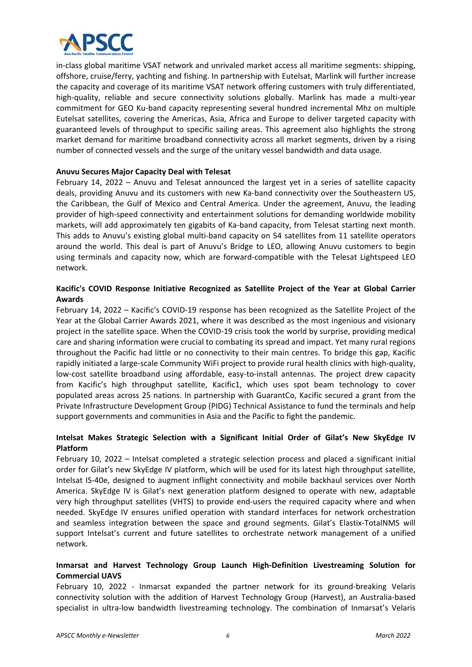

in-class global maritime VSAT network and unrivaled market access all maritime segments: shipping, offshore, cruise/ferry, yachting and fishing. In partnership with Eutelsat, Marlink will further increase the capacity and coverage of its maritime VSAT network offering customers with truly differentiated, high-quality, reliable and secure connectivity solutions globally. Marlink has made a multi-year commitment for GEO Ku-band capacity representing several hundred incremental Mhz on multiple Eutelsat satellites, covering the Americas, Asia, Africa and Europe to deliver targeted capacity with guaranteed levels of throughput to specific sailing areas. This agreement also highlights the strong market demand for maritime broadband connectivity across all market segments, driven by a rising number of connected vessels and the surge of the unitary vessel bandwidth and data usage.

# **Anuvu Secures Major Capacity Deal with Telesat**

February 14, 2022 - Anuvu and Telesat announced the largest yet in a series of satellite capacity deals, providing Anuvu and its customers with new Ka-band connectivity over the Southeastern US, the Caribbean, the Gulf of Mexico and Central America. Under the agreement, Anuvu, the leading provider of high-speed connectivity and entertainment solutions for demanding worldwide mobility markets, will add approximately ten gigabits of Ka‐band capacity, from Telesat starting next month. This adds to Anuvu's existing global multi‐band capacity on 54 satellites from 11 satellite operators around the world. This deal is part of Anuvu's Bridge to LEO, allowing Anuvu customers to begin using terminals and capacity now, which are forward‐compatible with the Telesat Lightspeed LEO network.

# **Kacific's COVID Response Initiative Recognized as Satellite Project of the Year at Global Carrier Awards**

February 14, 2022 – Kacific's COVID‐19 response has been recognized as the Satellite Project of the Year at the Global Carrier Awards 2021, where it was described as the most ingenious and visionary project in the satellite space. When the COVID‐19 crisis took the world by surprise, providing medical care and sharing information were crucial to combating its spread and impact. Yet many rural regions throughout the Pacific had little or no connectivity to their main centres. To bridge this gap, Kacific rapidly initiated a large-scale Community WiFi project to provide rural health clinics with high-quality, low-cost satellite broadband using affordable, easy-to-install antennas. The project drew capacity from Kacific's high throughput satellite, Kacific1, which uses spot beam technology to cover populated areas across 25 nations. In partnership with GuarantCo, Kacific secured a grant from the Private Infrastructure Development Group (PIDG) Technical Assistance to fund the terminals and help support governments and communities in Asia and the Pacific to fight the pandemic.

# **Intelsat Makes Strategic Selection with a Significant Initial Order of Gilat's New SkyEdge IV Platform**

February 10, 2022 – Intelsat completed a strategic selection process and placed a significant initial order for Gilat's new SkyEdge IV platform, which will be used for its latest high throughput satellite, Intelsat IS‐40e, designed to augment inflight connectivity and mobile backhaul services over North America. SkyEdge IV is Gilat's next generation platform designed to operate with new, adaptable very high throughput satellites (VHTS) to provide end‐users the required capacity where and when needed. SkyEdge IV ensures unified operation with standard interfaces for network orchestration and seamless integration between the space and ground segments. Gilat's Elastix-TotalNMS will support Intelsat's current and future satellites to orchestrate network management of a unified network.

# **Inmarsat and Harvest Technology Group Launch High‐Definition Livestreaming Solution for Commercial UAVS**

February 10, 2022 - Inmarsat expanded the partner network for its ground-breaking Velaris connectivity solution with the addition of Harvest Technology Group (Harvest), an Australia‐based specialist in ultra-low bandwidth livestreaming technology. The combination of Inmarsat's Velaris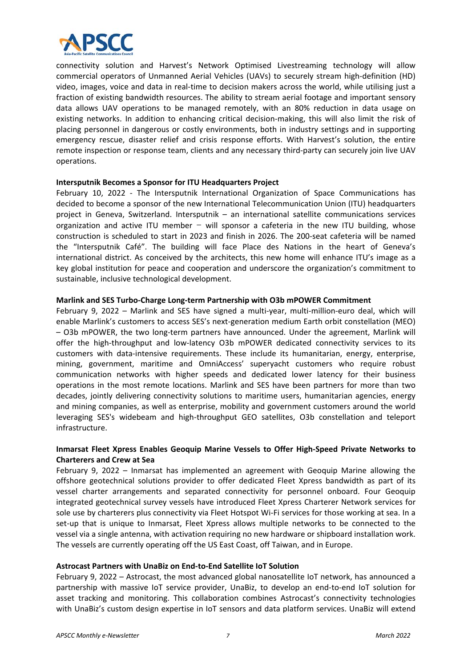

connectivity solution and Harvest's Network Optimised Livestreaming technology will allow commercial operators of Unmanned Aerial Vehicles (UAVs) to securely stream high-definition (HD) video, images, voice and data in real‐time to decision makers across the world, while utilising just a fraction of existing bandwidth resources. The ability to stream aerial footage and important sensory data allows UAV operations to be managed remotely, with an 80% reduction in data usage on existing networks. In addition to enhancing critical decision-making, this will also limit the risk of placing personnel in dangerous or costly environments, both in industry settings and in supporting emergency rescue, disaster relief and crisis response efforts. With Harvest's solution, the entire remote inspection or response team, clients and any necessary third-party can securely join live UAV operations.

#### **Intersputnik Becomes a Sponsor for ITU Headquarters Project**

February 10, 2022 - The Intersputnik International Organization of Space Communications has decided to become a sponsor of the new International Telecommunication Union (ITU) headquarters project in Geneva, Switzerland. Intersputnik – an international satellite communications services organization and active ITU member  $-$  will sponsor a cafeteria in the new ITU building, whose construction is scheduled to start in 2023 and finish in 2026. The 200‐seat cafeteria will be named the "Intersputnik Café". The building will face Place des Nations in the heart of Geneva's international district. As conceived by the architects, this new home will enhance ITU's image as a key global institution for peace and cooperation and underscore the organization's commitment to sustainable, inclusive technological development.

#### **Marlink and SES Turbo‐Charge Long‐term Partnership with O3b mPOWER Commitment**

February 9, 2022 – Marlink and SES have signed a multi‐year, multi‐million‐euro deal, which will enable Marlink's customers to access SES's next-generation medium Earth orbit constellation (MEO) – O3b mPOWER, the two long‐term partners have announced. Under the agreement, Marlink will offer the high-throughput and low-latency O3b mPOWER dedicated connectivity services to its customers with data‐intensive requirements. These include its humanitarian, energy, enterprise, mining, government, maritime and OmniAccess' superyacht customers who require robust communication networks with higher speeds and dedicated lower latency for their business operations in the most remote locations. Marlink and SES have been partners for more than two decades, jointly delivering connectivity solutions to maritime users, humanitarian agencies, energy and mining companies, as well as enterprise, mobility and government customers around the world leveraging SES's widebeam and high-throughput GEO satellites, O3b constellation and teleport infrastructure.

# **Inmarsat Fleet Xpress Enables Geoquip Marine Vessels to Offer High‐Speed Private Networks to Charterers and Crew at Sea**

February 9, 2022 – Inmarsat has implemented an agreement with Geoquip Marine allowing the offshore geotechnical solutions provider to offer dedicated Fleet Xpress bandwidth as part of its vessel charter arrangements and separated connectivity for personnel onboard. Four Geoquip integrated geotechnical survey vessels have introduced Fleet Xpress Charterer Network services for sole use by charterers plus connectivity via Fleet Hotspot Wi-Fi services for those working at sea. In a set-up that is unique to Inmarsat, Fleet Xpress allows multiple networks to be connected to the vessel via a single antenna, with activation requiring no new hardware or shipboard installation work. The vessels are currently operating off the US East Coast, off Taiwan, and in Europe.

#### **Astrocast Partners with UnaBiz on End‐to‐End Satellite IoT Solution**

February 9, 2022 – Astrocast, the most advanced global nanosatellite IoT network, has announced a partnership with massive IoT service provider, UnaBiz, to develop an end-to-end IoT solution for asset tracking and monitoring. This collaboration combines Astrocast's connectivity technologies with UnaBiz's custom design expertise in IoT sensors and data platform services. UnaBiz will extend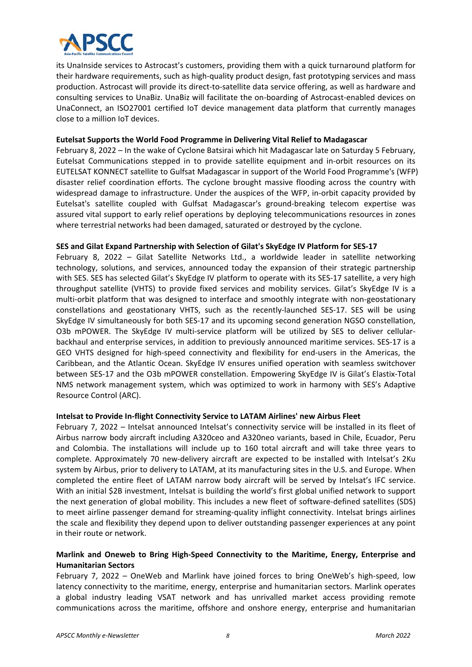

its UnaInside services to Astrocast's customers, providing them with a quick turnaround platform for their hardware requirements, such as high‐quality product design, fast prototyping services and mass production. Astrocast will provide its direct‐to‐satellite data service offering, as well as hardware and consulting services to UnaBiz. UnaBiz will facilitate the on-boarding of Astrocast-enabled devices on UnaConnect, an ISO27001 certified IoT device management data platform that currently manages close to a million IoT devices.

#### **Eutelsat Supports the World Food Programme in Delivering Vital Relief to Madagascar**

February 8, 2022 – In the wake of Cyclone Batsirai which hit Madagascar late on Saturday 5 February, Eutelsat Communications stepped in to provide satellite equipment and in‐orbit resources on its EUTELSAT KONNECT satellite to Gulfsat Madagascar in support of the World Food Programme's (WFP) disaster relief coordination efforts. The cyclone brought massive flooding across the country with widespread damage to infrastructure. Under the auspices of the WFP, in-orbit capacity provided by Eutelsat's satellite coupled with Gulfsat Madagascar's ground‐breaking telecom expertise was assured vital support to early relief operations by deploying telecommunications resources in zones where terrestrial networks had been damaged, saturated or destroyed by the cyclone.

#### **SES and Gilat Expand Partnership with Selection of Gilat's SkyEdge IV Platform for SES‐17**

February 8, 2022 – Gilat Satellite Networks Ltd., a worldwide leader in satellite networking technology, solutions, and services, announced today the expansion of their strategic partnership with SES. SES has selected Gilat's SkyEdge IV platform to operate with its SES-17 satellite, a very high throughput satellite (VHTS) to provide fixed services and mobility services. Gilat's SkyEdge IV is a multi-orbit platform that was designed to interface and smoothly integrate with non-geostationary constellations and geostationary VHTS, such as the recently-launched SES-17. SES will be using SkyEdge IV simultaneously for both SES‐17 and its upcoming second generation NGSO constellation, O3b mPOWER. The SkyEdge IV multi-service platform will be utilized by SES to deliver cellularbackhaul and enterprise services, in addition to previously announced maritime services. SES‐17 is a GEO VHTS designed for high‐speed connectivity and flexibility for end‐users in the Americas, the Caribbean, and the Atlantic Ocean. SkyEdge IV ensures unified operation with seamless switchover between SES-17 and the O3b mPOWER constellation. Empowering SkyEdge IV is Gilat's Elastix-Total NMS network management system, which was optimized to work in harmony with SES's Adaptive Resource Control (ARC).

#### **Intelsat to Provide In‐flight Connectivity Service to LATAM Airlines' new Airbus Fleet**

February 7, 2022 – Intelsat announced Intelsat's connectivity service will be installed in its fleet of Airbus narrow body aircraft including A320ceo and A320neo variants, based in Chile, Ecuador, Peru and Colombia. The installations will include up to 160 total aircraft and will take three years to complete. Approximately 70 new‐delivery aircraft are expected to be installed with Intelsat's 2Ku system by Airbus, prior to delivery to LATAM, at its manufacturing sites in the U.S. and Europe. When completed the entire fleet of LATAM narrow body aircraft will be served by Intelsat's IFC service. With an initial \$2B investment, Intelsat is building the world's first global unified network to support the next generation of global mobility. This includes a new fleet of software‐defined satellites (SDS) to meet airline passenger demand for streaming-quality inflight connectivity. Intelsat brings airlines the scale and flexibility they depend upon to deliver outstanding passenger experiences at any point in their route or network.

# **Marlink and Oneweb to Bring High‐Speed Connectivity to the Maritime, Energy, Enterprise and Humanitarian Sectors**

February 7, 2022 - OneWeb and Marlink have joined forces to bring OneWeb's high-speed, low latency connectivity to the maritime, energy, enterprise and humanitarian sectors. Marlink operates a global industry leading VSAT network and has unrivalled market access providing remote communications across the maritime, offshore and onshore energy, enterprise and humanitarian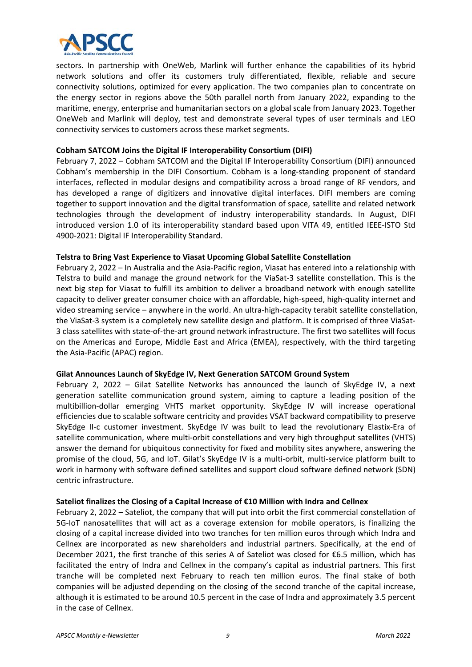

sectors. In partnership with OneWeb, Marlink will further enhance the capabilities of its hybrid network solutions and offer its customers truly differentiated, flexible, reliable and secure connectivity solutions, optimized for every application. The two companies plan to concentrate on the energy sector in regions above the 50th parallel north from January 2022, expanding to the maritime, energy, enterprise and humanitarian sectors on a global scale from January 2023. Together OneWeb and Marlink will deploy, test and demonstrate several types of user terminals and LEO connectivity services to customers across these market segments.

### **Cobham SATCOM Joins the Digital IF Interoperability Consortium (DIFI)**

February 7, 2022 – Cobham SATCOM and the Digital IF Interoperability Consortium (DIFI) announced Cobham's membership in the DIFI Consortium. Cobham is a long-standing proponent of standard interfaces, reflected in modular designs and compatibility across a broad range of RF vendors, and has developed a range of digitizers and innovative digital interfaces. DIFI members are coming together to support innovation and the digital transformation of space, satellite and related network technologies through the development of industry interoperability standards. In August, DIFI introduced version 1.0 of its interoperability standard based upon VITA 49, entitled IEEE-ISTO Std 4900‐2021: Digital IF Interoperability Standard.

# **Telstra to Bring Vast Experience to Viasat Upcoming Global Satellite Constellation**

February 2, 2022 – In Australia and the Asia‐Pacific region, Viasat has entered into a relationship with Telstra to build and manage the ground network for the ViaSat‐3 satellite constellation. This is the next big step for Viasat to fulfill its ambition to deliver a broadband network with enough satellite capacity to deliver greater consumer choice with an affordable, high‐speed, high‐quality internet and video streaming service – anywhere in the world. An ultra-high-capacity terabit satellite constellation, the ViaSat-3 system is a completely new satellite design and platform. It is comprised of three ViaSat-3 class satellites with state‐of‐the‐art ground network infrastructure. The first two satellites will focus on the Americas and Europe, Middle East and Africa (EMEA), respectively, with the third targeting the Asia‐Pacific (APAC) region.

#### **Gilat Announces Launch of SkyEdge IV, Next Generation SATCOM Ground System**

February 2, 2022 - Gilat Satellite Networks has announced the launch of SkyEdge IV, a next generation satellite communication ground system, aiming to capture a leading position of the multibillion‐dollar emerging VHTS market opportunity. SkyEdge IV will increase operational efficiencies due to scalable software centricity and provides VSAT backward compatibility to preserve SkyEdge II-c customer investment. SkyEdge IV was built to lead the revolutionary Elastix-Era of satellite communication, where multi-orbit constellations and very high throughput satellites (VHTS) answer the demand for ubiquitous connectivity for fixed and mobility sites anywhere, answering the promise of the cloud, 5G, and IoT. Gilat's SkyEdge IV is a multi‐orbit, multi‐service platform built to work in harmony with software defined satellites and support cloud software defined network (SDN) centric infrastructure.

#### **Sateliot finalizes the Closing of a Capital Increase of €10 Million with Indra and Cellnex**

February 2, 2022 – Sateliot, the company that will put into orbit the first commercial constellation of 5G-IoT nanosatellites that will act as a coverage extension for mobile operators, is finalizing the closing of a capital increase divided into two tranches for ten million euros through which Indra and Cellnex are incorporated as new shareholders and industrial partners. Specifically, at the end of December 2021, the first tranche of this series A of Sateliot was closed for €6.5 million, which has facilitated the entry of Indra and Cellnex in the company's capital as industrial partners. This first tranche will be completed next February to reach ten million euros. The final stake of both companies will be adjusted depending on the closing of the second tranche of the capital increase, although it is estimated to be around 10.5 percent in the case of Indra and approximately 3.5 percent in the case of Cellnex.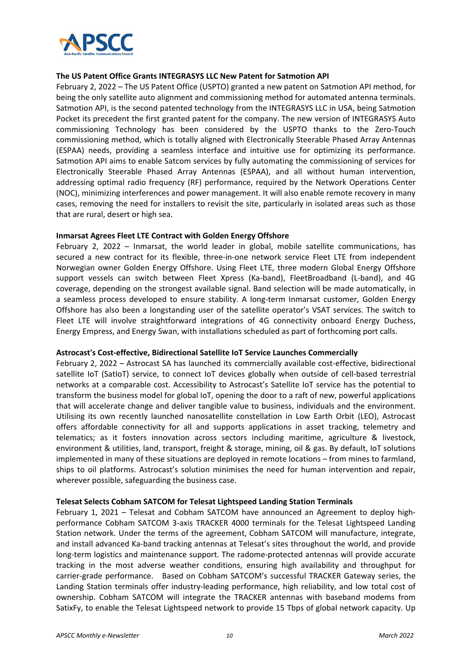

#### **The US Patent Office Grants INTEGRASYS LLC New Patent for Satmotion API**

February 2, 2022 – The US Patent Office (USPTO) granted a new patent on Satmotion API method, for being the only satellite auto alignment and commissioning method for automated antenna terminals. Satmotion API, is the second patented technology from the INTEGRASYS LLC in USA, being Satmotion Pocket its precedent the first granted patent for the company. The new version of INTEGRASYS Auto commissioning Technology has been considered by the USPTO thanks to the Zero‐Touch commissioning method, which is totally aligned with Electronically Steerable Phased Array Antennas (ESPAA) needs, providing a seamless interface and intuitive use for optimizing its performance. Satmotion API aims to enable Satcom services by fully automating the commissioning of services for Electronically Steerable Phased Array Antennas (ESPAA), and all without human intervention, addressing optimal radio frequency (RF) performance, required by the Network Operations Center (NOC), minimizing interferences and power management. It will also enable remote recovery in many cases, removing the need for installers to revisit the site, particularly in isolated areas such as those that are rural, desert or high sea.

#### **Inmarsat Agrees Fleet LTE Contract with Golden Energy Offshore**

February 2, 2022 - Inmarsat, the world leader in global, mobile satellite communications, has secured a new contract for its flexible, three-in-one network service Fleet LTE from independent Norwegian owner Golden Energy Offshore. Using Fleet LTE, three modern Global Energy Offshore support vessels can switch between Fleet Xpress (Ka-band), FleetBroadband (L-band), and 4G coverage, depending on the strongest available signal. Band selection will be made automatically, in a seamless process developed to ensure stability. A long‐term Inmarsat customer, Golden Energy Offshore has also been a longstanding user of the satellite operator's VSAT services. The switch to Fleet LTE will involve straightforward integrations of 4G connectivity onboard Energy Duchess, Energy Empress, and Energy Swan, with installations scheduled as part of forthcoming port calls.

#### **Astrocast's Cost‐effective, Bidirectional Satellite IoT Service Launches Commercially**

February 2, 2022 – Astrocast SA has launched its commercially available cost-effective, bidirectional satellite IoT (SatIoT) service, to connect IoT devices globally when outside of cell-based terrestrial networks at a comparable cost. Accessibility to Astrocast's Satellite IoT service has the potential to transform the business model for global IoT, opening the door to a raft of new, powerful applications that will accelerate change and deliver tangible value to business, individuals and the environment. Utilising its own recently launched nanosatellite constellation in Low Earth Orbit (LEO), Astrocast offers affordable connectivity for all and supports applications in asset tracking, telemetry and telematics; as it fosters innovation across sectors including maritime, agriculture & livestock, environment & utilities, land, transport, freight & storage, mining, oil & gas. By default, IoT solutions implemented in many of these situations are deployed in remote locations – from mines to farmland, ships to oil platforms. Astrocast's solution minimises the need for human intervention and repair, wherever possible, safeguarding the business case.

#### **Telesat Selects Cobham SATCOM for Telesat Lightspeed Landing Station Terminals**

February 1, 2021 – Telesat and Cobham SATCOM have announced an Agreement to deploy highperformance Cobham SATCOM 3-axis TRACKER 4000 terminals for the Telesat Lightspeed Landing Station network. Under the terms of the agreement, Cobham SATCOM will manufacture, integrate, and install advanced Ka‐band tracking antennas at Telesat's sites throughout the world, and provide long-term logistics and maintenance support. The radome-protected antennas will provide accurate tracking in the most adverse weather conditions, ensuring high availability and throughput for carrier-grade performance. Based on Cobham SATCOM's successful TRACKER Gateway series, the Landing Station terminals offer industry-leading performance, high reliability, and low total cost of ownership. Cobham SATCOM will integrate the TRACKER antennas with baseband modems from SatixFy, to enable the Telesat Lightspeed network to provide 15 Tbps of global network capacity. Up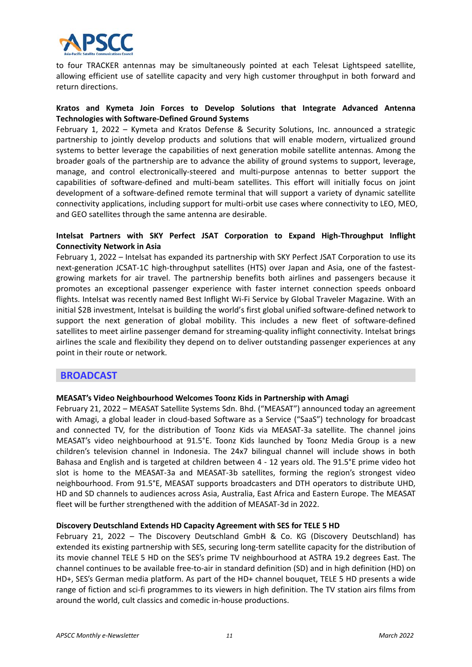

to four TRACKER antennas may be simultaneously pointed at each Telesat Lightspeed satellite, allowing efficient use of satellite capacity and very high customer throughput in both forward and return directions.

#### **Kratos and Kymeta Join Forces to Develop Solutions that Integrate Advanced Antenna Technologies with Software‐Defined Ground Systems**

February 1, 2022 – Kymeta and Kratos Defense & Security Solutions, Inc. announced a strategic partnership to jointly develop products and solutions that will enable modern, virtualized ground systems to better leverage the capabilities of next generation mobile satellite antennas. Among the broader goals of the partnership are to advance the ability of ground systems to support, leverage, manage, and control electronically-steered and multi-purpose antennas to better support the capabilities of software‐defined and multi‐beam satellites. This effort will initially focus on joint development of a software‐defined remote terminal that will support a variety of dynamic satellite connectivity applications, including support for multi-orbit use cases where connectivity to LEO, MEO, and GEO satellites through the same antenna are desirable.

### **Intelsat Partners with SKY Perfect JSAT Corporation to Expand High‐Throughput Inflight Connectivity Network in Asia**

February 1, 2022 – Intelsat has expanded its partnership with SKY Perfect JSAT Corporation to use its next-generation JCSAT-1C high-throughput satellites (HTS) over Japan and Asia, one of the fastestgrowing markets for air travel. The partnership benefits both airlines and passengers because it promotes an exceptional passenger experience with faster internet connection speeds onboard flights. Intelsat was recently named Best Inflight Wi‐Fi Service by Global Traveler Magazine. With an initial \$2B investment, Intelsat is building the world's first global unified software‐defined network to support the next generation of global mobility. This includes a new fleet of software-defined satellites to meet airline passenger demand for streaming-quality inflight connectivity. Intelsat brings airlines the scale and flexibility they depend on to deliver outstanding passenger experiences at any point in their route or network.

# **BROADCAST**

#### **MEASAT's Video Neighbourhood Welcomes Toonz Kids in Partnership with Amagi**

February 21, 2022 – MEASAT Satellite Systems Sdn. Bhd. ("MEASAT") announced today an agreement with Amagi, a global leader in cloud-based Software as a Service ("SaaS") technology for broadcast and connected TV, for the distribution of Toonz Kids via MEASAT-3a satellite. The channel joins MEASAT's video neighbourhood at 91.5°E. Toonz Kids launched by Toonz Media Group is a new children's television channel in Indonesia. The 24x7 bilingual channel will include shows in both Bahasa and English and is targeted at children between 4 ‐ 12 years old. The 91.5°E prime video hot slot is home to the MEASAT-3a and MEASAT-3b satellites, forming the region's strongest video neighbourhood. From 91.5°E, MEASAT supports broadcasters and DTH operators to distribute UHD, HD and SD channels to audiences across Asia, Australia, East Africa and Eastern Europe. The MEASAT fleet will be further strengthened with the addition of MEASAT‐3d in 2022.

#### **Discovery Deutschland Extends HD Capacity Agreement with SES for TELE 5 HD**

February 21, 2022 - The Discovery Deutschland GmbH & Co. KG (Discovery Deutschland) has extended its existing partnership with SES, securing long-term satellite capacity for the distribution of its movie channel TELE 5 HD on the SES's prime TV neighbourhood at ASTRA 19.2 degrees East. The channel continues to be available free‐to‐air in standard definition (SD) and in high definition (HD) on HD+, SES's German media platform. As part of the HD+ channel bouquet, TELE 5 HD presents a wide range of fiction and sci-fi programmes to its viewers in high definition. The TV station airs films from around the world, cult classics and comedic in‐house productions.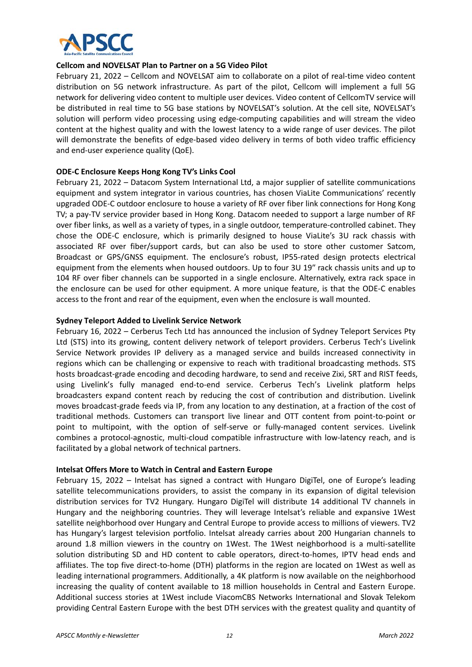

#### **Cellcom and NOVELSAT Plan to Partner on a 5G Video Pilot**

February 21, 2022 – Cellcom and NOVELSAT aim to collaborate on a pilot of real-time video content distribution on 5G network infrastructure. As part of the pilot, Cellcom will implement a full 5G network for delivering video content to multiple user devices. Video content of CellcomTV service will be distributed in real time to 5G base stations by NOVELSAT's solution. At the cell site, NOVELSAT's solution will perform video processing using edge-computing capabilities and will stream the video content at the highest quality and with the lowest latency to a wide range of user devices. The pilot will demonstrate the benefits of edge-based video delivery in terms of both video traffic efficiency and end‐user experience quality (QoE).

#### **ODE‐C Enclosure Keeps Hong Kong TV's Links Cool**

February 21, 2022 – Datacom System International Ltd, a major supplier of satellite communications equipment and system integrator in various countries, has chosen ViaLite Communications' recently upgraded ODE‐C outdoor enclosure to house a variety of RF over fiber link connections for Hong Kong TV; a pay‐TV service provider based in Hong Kong. Datacom needed to support a large number of RF over fiber links, as well as a variety of types, in a single outdoor, temperature-controlled cabinet. They chose the ODE‐C enclosure, which is primarily designed to house ViaLite's 3U rack chassis with associated RF over fiber/support cards, but can also be used to store other customer Satcom, Broadcast or GPS/GNSS equipment. The enclosure's robust, IP55‐rated design protects electrical equipment from the elements when housed outdoors. Up to four 3U 19″ rack chassis units and up to 104 RF over fiber channels can be supported in a single enclosure. Alternatively, extra rack space in the enclosure can be used for other equipment. A more unique feature, is that the ODE‐C enables access to the front and rear of the equipment, even when the enclosure is wall mounted.

#### **Sydney Teleport Added to Livelink Service Network**

February 16, 2022 – Cerberus Tech Ltd has announced the inclusion of Sydney Teleport Services Pty Ltd (STS) into its growing, content delivery network of teleport providers. Cerberus Tech's Livelink Service Network provides IP delivery as a managed service and builds increased connectivity in regions which can be challenging or expensive to reach with traditional broadcasting methods. STS hosts broadcast-grade encoding and decoding hardware, to send and receive Zixi, SRT and RIST feeds, using Livelink's fully managed end-to-end service. Cerberus Tech's Livelink platform helps broadcasters expand content reach by reducing the cost of contribution and distribution. Livelink moves broadcast‐grade feeds via IP, from any location to any destination, at a fraction of the cost of traditional methods. Customers can transport live linear and OTT content from point‐to‐point or point to multipoint, with the option of self-serve or fully-managed content services. Livelink combines a protocol-agnostic, multi-cloud compatible infrastructure with low-latency reach, and is facilitated by a global network of technical partners.

#### **Intelsat Offers More to Watch in Central and Eastern Europe**

February 15, 2022 – Intelsat has signed a contract with Hungaro DigiTel, one of Europe's leading satellite telecommunications providers, to assist the company in its expansion of digital television distribution services for TV2 Hungary. Hungaro DigiTel will distribute 14 additional TV channels in Hungary and the neighboring countries. They will leverage Intelsat's reliable and expansive 1West satellite neighborhood over Hungary and Central Europe to provide access to millions of viewers. TV2 has Hungary's largest television portfolio. Intelsat already carries about 200 Hungarian channels to around 1.8 million viewers in the country on 1West. The 1West neighborhood is a multi-satellite solution distributing SD and HD content to cable operators, direct-to-homes, IPTV head ends and affiliates. The top five direct‐to‐home (DTH) platforms in the region are located on 1West as well as leading international programmers. Additionally, a 4K platform is now available on the neighborhood increasing the quality of content available to 18 million households in Central and Eastern Europe. Additional success stories at 1West include ViacomCBS Networks International and Slovak Telekom providing Central Eastern Europe with the best DTH services with the greatest quality and quantity of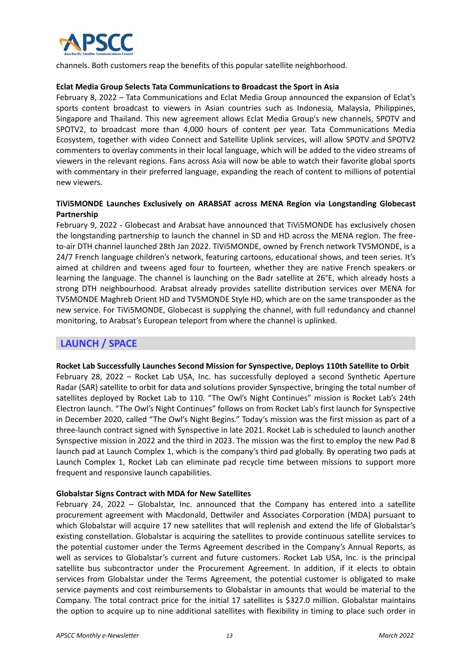

channels. Both customers reap the benefits of this popular satellite neighborhood.

#### **Eclat Media Group Selects Tata Communications to Broadcast the Sport in Asia**

February 8, 2022 – Tata Communications and Eclat Media Group announced the expansion of Eclat's sports content broadcast to viewers in Asian countries such as Indonesia, Malaysia, Philippines, Singapore and Thailand. This new agreement allows Eclat Media Group's new channels, SPOTV and SPOTV2, to broadcast more than 4,000 hours of content per year. Tata Communications Media Ecosystem, together with video Connect and Satellite Uplink services, will allow SPOTV and SPOTV2 commenters to overlay comments in their local language, which will be added to the video streams of viewers in the relevant regions. Fans across Asia will now be able to watch their favorite global sports with commentary in their preferred language, expanding the reach of content to millions of potential new viewers.

### **TiVi5MONDE Launches Exclusively on ARABSAT across MENA Region via Longstanding Globecast Partnership**

February 9, 2022 - Globecast and Arabsat have announced that TiVi5MONDE has exclusively chosen the longstanding partnership to launch the channel in SD and HD across the MENA region. The free‐ to-air DTH channel launched 28th Jan 2022. TiVi5MONDE, owned by French network TV5MONDE, is a 24/7 French language children's network, featuring cartoons, educational shows, and teen series. It's aimed at children and tweens aged four to fourteen, whether they are native French speakers or learning the language. The channel is launching on the Badr satellite at 26°E, which already hosts a strong DTH neighbourhood. Arabsat already provides satellite distribution services over MENA for TV5MONDE Maghreb Orient HD and TV5MONDE Style HD, which are on the same transponder as the new service. For TiVi5MONDE, Globecast is supplying the channel, with full redundancy and channel monitoring, to Arabsat's European teleport from where the channel is uplinked.

# **LAUNCH / SPACE**

#### **Rocket Lab Successfully Launches Second Mission for Synspective, Deploys 110th Satellite to Orbit**

February 28, 2022 - Rocket Lab USA, Inc. has successfully deployed a second Synthetic Aperture Radar (SAR) satellite to orbit for data and solutions provider Synspective, bringing the total number of satellites deployed by Rocket Lab to 110. "The Owl's Night Continues" mission is Rocket Lab's 24th Electron launch. "The Owl's Night Continues" follows on from Rocket Lab's first launch for Synspective in December 2020, called "The Owl's Night Begins." Today's mission was the first mission as part of a three‐launch contract signed with Synspective in late 2021. Rocket Lab is scheduled to launch another Synspective mission in 2022 and the third in 2023. The mission was the first to employ the new Pad B launch pad at Launch Complex 1, which is the company's third pad globally. By operating two pads at Launch Complex 1, Rocket Lab can eliminate pad recycle time between missions to support more frequent and responsive launch capabilities.

#### **Globalstar Signs Contract with MDA for New Satellites**

February 24, 2022 - Globalstar, Inc. announced that the Company has entered into a satellite procurement agreement with Macdonald, Dettwiler and Associates Corporation (MDA) pursuant to which Globalstar will acquire 17 new satellites that will replenish and extend the life of Globalstar's existing constellation. Globalstar is acquiring the satellites to provide continuous satellite services to the potential customer under the Terms Agreement described in the Company's Annual Reports, as well as services to Globalstar's current and future customers. Rocket Lab USA, Inc. is the principal satellite bus subcontractor under the Procurement Agreement. In addition, if it elects to obtain services from Globalstar under the Terms Agreement, the potential customer is obligated to make service payments and cost reimbursements to Globalstar in amounts that would be material to the Company. The total contract price for the initial 17 satellites is \$327.0 million. Globalstar maintains the option to acquire up to nine additional satellites with flexibility in timing to place such order in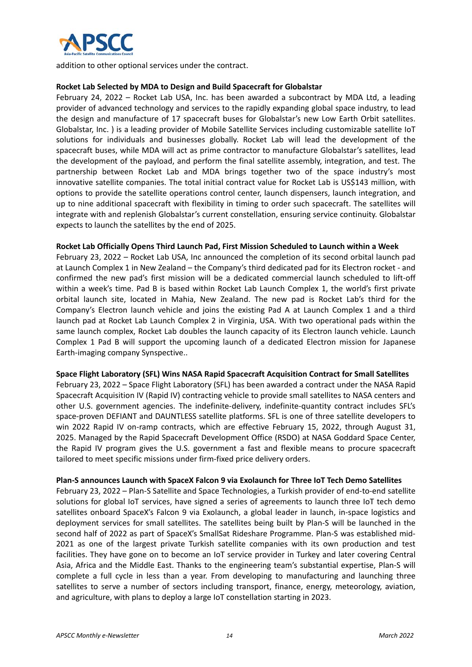

addition to other optional services under the contract.

#### **Rocket Lab Selected by MDA to Design and Build Spacecraft for Globalstar**

February 24, 2022 – Rocket Lab USA, Inc. has been awarded a subcontract by MDA Ltd, a leading provider of advanced technology and services to the rapidly expanding global space industry, to lead the design and manufacture of 17 spacecraft buses for Globalstar's new Low Earth Orbit satellites. Globalstar, Inc. ) is a leading provider of Mobile Satellite Services including customizable satellite IoT solutions for individuals and businesses globally. Rocket Lab will lead the development of the spacecraft buses, while MDA will act as prime contractor to manufacture Globalstar's satellites, lead the development of the payload, and perform the final satellite assembly, integration, and test. The partnership between Rocket Lab and MDA brings together two of the space industry's most innovative satellite companies. The total initial contract value for Rocket Lab is US\$143 million, with options to provide the satellite operations control center, launch dispensers, launch integration, and up to nine additional spacecraft with flexibility in timing to order such spacecraft. The satellites will integrate with and replenish Globalstar's current constellation, ensuring service continuity. Globalstar expects to launch the satellites by the end of 2025.

#### **Rocket Lab Officially Opens Third Launch Pad, First Mission Scheduled to Launch within a Week**

February 23, 2022 – Rocket Lab USA, Inc announced the completion of its second orbital launch pad at Launch Complex 1 in New Zealand – the Company's third dedicated pad for its Electron rocket ‐ and confirmed the new pad's first mission will be a dedicated commercial launch scheduled to lift‐off within a week's time. Pad B is based within Rocket Lab Launch Complex 1, the world's first private orbital launch site, located in Mahia, New Zealand. The new pad is Rocket Lab's third for the Company's Electron launch vehicle and joins the existing Pad A at Launch Complex 1 and a third launch pad at Rocket Lab Launch Complex 2 in Virginia, USA. With two operational pads within the same launch complex, Rocket Lab doubles the launch capacity of its Electron launch vehicle. Launch Complex 1 Pad B will support the upcoming launch of a dedicated Electron mission for Japanese Earth‐imaging company Synspective..

#### **Space Flight Laboratory (SFL) Wins NASA Rapid Spacecraft Acquisition Contract for Small Satellites**

February 23, 2022 – Space Flight Laboratory (SFL) has been awarded a contract under the NASA Rapid Spacecraft Acquisition IV (Rapid IV) contracting vehicle to provide small satellites to NASA centers and other U.S. government agencies. The indefinite‐delivery, indefinite‐quantity contract includes SFL's space‐proven DEFIANT and DAUNTLESS satellite platforms. SFL is one of three satellite developers to win 2022 Rapid IV on-ramp contracts, which are effective February 15, 2022, through August 31, 2025. Managed by the Rapid Spacecraft Development Office (RSDO) at NASA Goddard Space Center, the Rapid IV program gives the U.S. government a fast and flexible means to procure spacecraft tailored to meet specific missions under firm‐fixed price delivery orders.

#### **Plan‐S announces Launch with SpaceX Falcon 9 via Exolaunch for Three IoT Tech Demo Satellites**

February 23, 2022 – Plan‐S Satellite and Space Technologies, a Turkish provider of end‐to‐end satellite solutions for global IoT services, have signed a series of agreements to launch three IoT tech demo satellites onboard SpaceX's Falcon 9 via Exolaunch, a global leader in launch, in-space logistics and deployment services for small satellites. The satellites being built by Plan‐S will be launched in the second half of 2022 as part of SpaceX's SmallSat Rideshare Programme. Plan‐S was established mid‐ 2021 as one of the largest private Turkish satellite companies with its own production and test facilities. They have gone on to become an IoT service provider in Turkey and later covering Central Asia, Africa and the Middle East. Thanks to the engineering team's substantial expertise, Plan‐S will complete a full cycle in less than a year. From developing to manufacturing and launching three satellites to serve a number of sectors including transport, finance, energy, meteorology, aviation, and agriculture, with plans to deploy a large IoT constellation starting in 2023.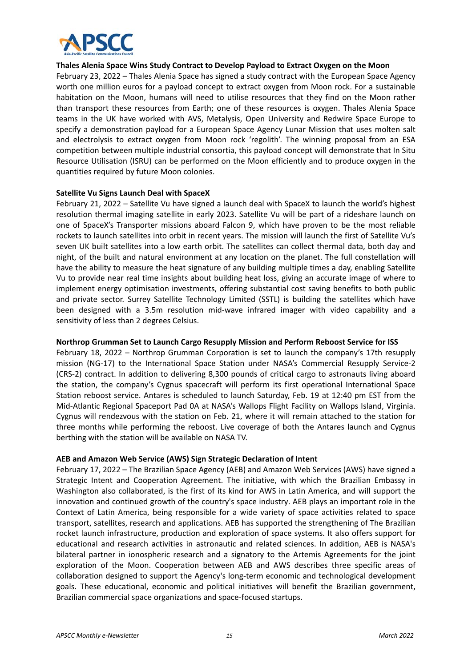

#### **Thales Alenia Space Wins Study Contract to Develop Payload to Extract Oxygen on the Moon**

February 23, 2022 – Thales Alenia Space has signed a study contract with the European Space Agency worth one million euros for a payload concept to extract oxygen from Moon rock. For a sustainable habitation on the Moon, humans will need to utilise resources that they find on the Moon rather than transport these resources from Earth; one of these resources is oxygen. Thales Alenia Space teams in the UK have worked with AVS, Metalysis, Open University and Redwire Space Europe to specify a demonstration payload for a European Space Agency Lunar Mission that uses molten salt and electrolysis to extract oxygen from Moon rock 'regolith'. The winning proposal from an ESA competition between multiple industrial consortia, this payload concept will demonstrate that In Situ Resource Utilisation (ISRU) can be performed on the Moon efficiently and to produce oxygen in the quantities required by future Moon colonies.

#### **Satellite Vu Signs Launch Deal with SpaceX**

February 21, 2022 – Satellite Vu have signed a launch deal with SpaceX to launch the world's highest resolution thermal imaging satellite in early 2023. Satellite Vu will be part of a rideshare launch on one of SpaceX's Transporter missions aboard Falcon 9, which have proven to be the most reliable rockets to launch satellites into orbit in recent years. The mission will launch the first of Satellite Vu's seven UK built satellites into a low earth orbit. The satellites can collect thermal data, both day and night, of the built and natural environment at any location on the planet. The full constellation will have the ability to measure the heat signature of any building multiple times a day, enabling Satellite Vu to provide near real time insights about building heat loss, giving an accurate image of where to implement energy optimisation investments, offering substantial cost saving benefits to both public and private sector. Surrey Satellite Technology Limited (SSTL) is building the satellites which have been designed with a 3.5m resolution mid-wave infrared imager with video capability and a sensitivity of less than 2 degrees Celsius.

#### **Northrop Grumman Set to Launch Cargo Resupply Mission and Perform Reboost Service for ISS**

February 18, 2022 – Northrop Grumman Corporation is set to launch the company's 17th resupply mission (NG-17) to the International Space Station under NASA's Commercial Resupply Service-2 (CRS-2) contract. In addition to delivering 8,300 pounds of critical cargo to astronauts living aboard the station, the company's Cygnus spacecraft will perform its first operational International Space Station reboost service. Antares is scheduled to launch Saturday, Feb. 19 at 12:40 pm EST from the Mid‐Atlantic Regional Spaceport Pad 0A at NASA's Wallops Flight Facility on Wallops Island, Virginia. Cygnus will rendezvous with the station on Feb. 21, where it will remain attached to the station for three months while performing the reboost. Live coverage of both the Antares launch and Cygnus berthing with the station will be available on NASA TV.

#### **AEB and Amazon Web Service (AWS) Sign Strategic Declaration of Intent**

February 17, 2022 – The Brazilian Space Agency (AEB) and Amazon Web Services (AWS) have signed a Strategic Intent and Cooperation Agreement. The initiative, with which the Brazilian Embassy in Washington also collaborated, is the first of its kind for AWS in Latin America, and will support the innovation and continued growth of the country's space industry. AEB plays an important role in the Context of Latin America, being responsible for a wide variety of space activities related to space transport, satellites, research and applications. AEB has supported the strengthening of The Brazilian rocket launch infrastructure, production and exploration of space systems. It also offers support for educational and research activities in astronautic and related sciences. In addition, AEB is NASA's bilateral partner in ionospheric research and a signatory to the Artemis Agreements for the joint exploration of the Moon. Cooperation between AEB and AWS describes three specific areas of collaboration designed to support the Agency's long‐term economic and technological development goals. These educational, economic and political initiatives will benefit the Brazilian government, Brazilian commercial space organizations and space‐focused startups.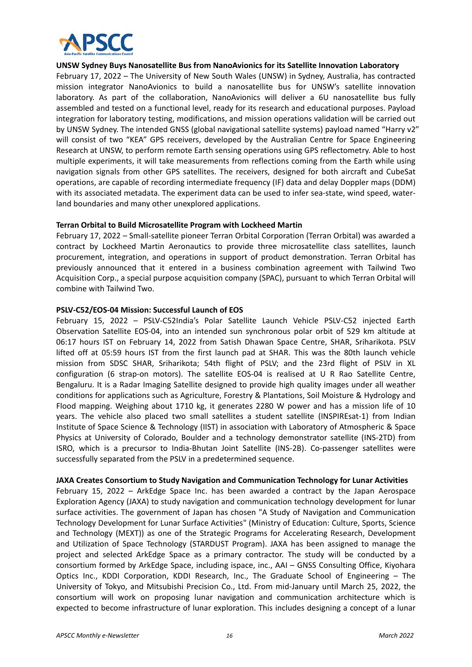

#### **UNSW Sydney Buys Nanosatellite Bus from NanoAvionics for its Satellite Innovation Laboratory**

February 17, 2022 – The University of New South Wales (UNSW) in Sydney, Australia, has contracted mission integrator NanoAvionics to build a nanosatellite bus for UNSW's satellite innovation laboratory. As part of the collaboration, NanoAvionics will deliver a 6U nanosatellite bus fully assembled and tested on a functional level, ready for its research and educational purposes. Payload integration for laboratory testing, modifications, and mission operations validation will be carried out by UNSW Sydney. The intended GNSS (global navigational satellite systems) payload named "Harry v2" will consist of two "KEA" GPS receivers, developed by the Australian Centre for Space Engineering Research at UNSW, to perform remote Earth sensing operations using GPS reflectometry. Able to host multiple experiments, it will take measurements from reflections coming from the Earth while using navigation signals from other GPS satellites. The receivers, designed for both aircraft and CubeSat operations, are capable of recording intermediate frequency (IF) data and delay Doppler maps (DDM) with its associated metadata. The experiment data can be used to infer sea-state, wind speed, waterland boundaries and many other unexplored applications.

#### **Terran Orbital to Build Microsatellite Program with Lockheed Martin**

February 17, 2022 – Small‐satellite pioneer Terran Orbital Corporation (Terran Orbital) was awarded a contract by Lockheed Martin Aeronautics to provide three microsatellite class satellites, launch procurement, integration, and operations in support of product demonstration. Terran Orbital has previously announced that it entered in a business combination agreement with Tailwind Two Acquisition Corp., a special purpose acquisition company (SPAC), pursuant to which Terran Orbital will combine with Tailwind Two.

#### **PSLV‐C52/EOS‐04 Mission: Successful Launch of EOS**

February 15, 2022 – PSLV‐C52India's Polar Satellite Launch Vehicle PSLV‐C52 injected Earth Observation Satellite EOS‐04, into an intended sun synchronous polar orbit of 529 km altitude at 06:17 hours IST on February 14, 2022 from Satish Dhawan Space Centre, SHAR, Sriharikota. PSLV lifted off at 05:59 hours IST from the first launch pad at SHAR. This was the 80th launch vehicle mission from SDSC SHAR, Sriharikota; 54th flight of PSLV; and the 23rd flight of PSLV in XL configuration (6 strap-on motors). The satellite EOS-04 is realised at U R Rao Satellite Centre, Bengaluru. It is a Radar Imaging Satellite designed to provide high quality images under all weather conditions for applications such as Agriculture, Forestry & Plantations, Soil Moisture & Hydrology and Flood mapping. Weighing about 1710 kg, it generates 2280 W power and has a mission life of 10 years. The vehicle also placed two small satellites a student satellite (INSPIREsat-1) from Indian Institute of Space Science & Technology (IIST) in association with Laboratory of Atmospheric & Space Physics at University of Colorado, Boulder and a technology demonstrator satellite (INS‐2TD) from ISRO, which is a precursor to India‐Bhutan Joint Satellite (INS‐2B). Co‐passenger satellites were successfully separated from the PSLV in a predetermined sequence.

#### **JAXA Creates Consortium to Study Navigation and Communication Technology for Lunar Activities**

February 15, 2022 – ArkEdge Space Inc. has been awarded a contract by the Japan Aerospace Exploration Agency (JAXA) to study navigation and communication technology development for lunar surface activities. The government of Japan has chosen "A Study of Navigation and Communication Technology Development for Lunar Surface Activities" (Ministry of Education: Culture, Sports, Science and Technology (MEXT)) as one of the Strategic Programs for Accelerating Research, Development and Utilization of Space Technology (STARDUST Program). JAXA has been assigned to manage the project and selected ArkEdge Space as a primary contractor. The study will be conducted by a consortium formed by ArkEdge Space, including ispace, inc., AAI – GNSS Consulting Office, Kiyohara Optics Inc., KDDI Corporation, KDDI Research, Inc., The Graduate School of Engineering – The University of Tokyo, and Mitsubishi Precision Co., Ltd. From mid‐January until March 25, 2022, the consortium will work on proposing lunar navigation and communication architecture which is expected to become infrastructure of lunar exploration. This includes designing a concept of a lunar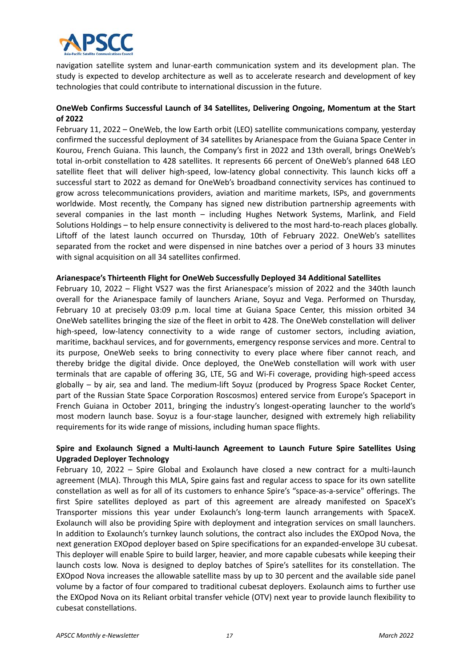

navigation satellite system and lunar‐earth communication system and its development plan. The study is expected to develop architecture as well as to accelerate research and development of key technologies that could contribute to international discussion in the future.

# **OneWeb Confirms Successful Launch of 34 Satellites, Delivering Ongoing, Momentum at the Start of 2022**

February 11, 2022 – OneWeb, the low Earth orbit (LEO) satellite communications company, yesterday confirmed the successful deployment of 34 satellites by Arianespace from the Guiana Space Center in Kourou, French Guiana. This launch, the Company's first in 2022 and 13th overall, brings OneWeb's total in‐orbit constellation to 428 satellites. It represents 66 percent of OneWeb's planned 648 LEO satellite fleet that will deliver high-speed, low-latency global connectivity. This launch kicks off a successful start to 2022 as demand for OneWeb's broadband connectivity services has continued to grow across telecommunications providers, aviation and maritime markets, ISPs, and governments worldwide. Most recently, the Company has signed new distribution partnership agreements with several companies in the last month – including Hughes Network Systems, Marlink, and Field Solutions Holdings – to help ensure connectivity is delivered to the most hard‐to‐reach places globally. Liftoff of the latest launch occurred on Thursday, 10th of February 2022. OneWeb's satellites separated from the rocket and were dispensed in nine batches over a period of 3 hours 33 minutes with signal acquisition on all 34 satellites confirmed.

#### **Arianespace's Thirteenth Flight for OneWeb Successfully Deployed 34 Additional Satellites**

February 10, 2022 – Flight VS27 was the first Arianespace's mission of 2022 and the 340th launch overall for the Arianespace family of launchers Ariane, Soyuz and Vega. Performed on Thursday, February 10 at precisely 03:09 p.m. local time at Guiana Space Center, this mission orbited 34 OneWeb satellites bringing the size of the fleet in orbit to 428. The OneWeb constellation will deliver high-speed, low-latency connectivity to a wide range of customer sectors, including aviation, maritime, backhaul services, and for governments, emergency response services and more. Central to its purpose, OneWeb seeks to bring connectivity to every place where fiber cannot reach, and thereby bridge the digital divide. Once deployed, the OneWeb constellation will work with user terminals that are capable of offering 3G, LTE, 5G and Wi‐Fi coverage, providing high‐speed access globally – by air, sea and land. The medium-lift Soyuz (produced by Progress Space Rocket Center, part of the Russian State Space Corporation Roscosmos) entered service from Europe's Spaceport in French Guiana in October 2011, bringing the industry's longest-operating launcher to the world's most modern launch base. Soyuz is a four-stage launcher, designed with extremely high reliability requirements for its wide range of missions, including human space flights.

# **Spire and Exolaunch Signed a Multi‐launch Agreement to Launch Future Spire Satellites Using Upgraded Deployer Technology**

February 10, 2022 – Spire Global and Exolaunch have closed a new contract for a multi-launch agreement (MLA). Through this MLA, Spire gains fast and regular access to space for its own satellite constellation as well as for all of its customers to enhance Spire's "space‐as‐a‐service" offerings. The first Spire satellites deployed as part of this agreement are already manifested on SpaceX's Transporter missions this year under Exolaunch's long-term launch arrangements with SpaceX. Exolaunch will also be providing Spire with deployment and integration services on small launchers. In addition to Exolaunch's turnkey launch solutions, the contract also includes the EXOpod Nova, the next generation EXOpod deployer based on Spire specifications for an expanded‐envelope 3U cubesat. This deployer will enable Spire to build larger, heavier, and more capable cubesats while keeping their launch costs low. Nova is designed to deploy batches of Spire's satellites for its constellation. The EXOpod Nova increases the allowable satellite mass by up to 30 percent and the available side panel volume by a factor of four compared to traditional cubesat deployers. Exolaunch aims to further use the EXOpod Nova on its Reliant orbital transfer vehicle (OTV) next year to provide launch flexibility to cubesat constellations.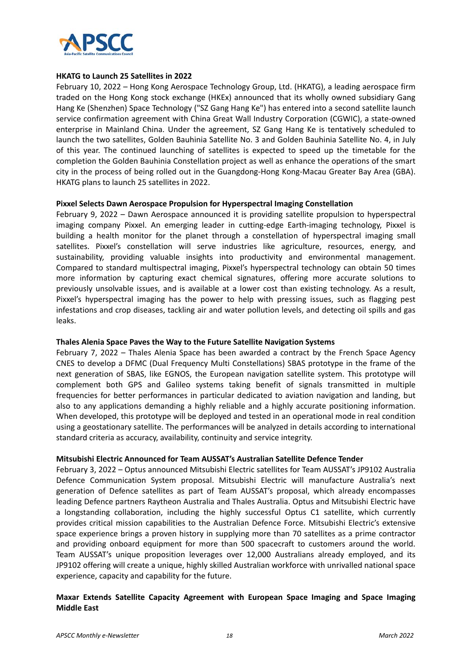

#### **HKATG to Launch 25 Satellites in 2022**

February 10, 2022 – Hong Kong Aerospace Technology Group, Ltd. (HKATG), a leading aerospace firm traded on the Hong Kong stock exchange (HKEx) announced that its wholly owned subsidiary Gang Hang Ke (Shenzhen) Space Technology ("SZ Gang Hang Ke") has entered into a second satellite launch service confirmation agreement with China Great Wall Industry Corporation (CGWIC), a state-owned enterprise in Mainland China. Under the agreement, SZ Gang Hang Ke is tentatively scheduled to launch the two satellites, Golden Bauhinia Satellite No. 3 and Golden Bauhinia Satellite No. 4, in July of this year. The continued launching of satellites is expected to speed up the timetable for the completion the Golden Bauhinia Constellation project as well as enhance the operations of the smart city in the process of being rolled out in the Guangdong‐Hong Kong‐Macau Greater Bay Area (GBA). HKATG plans to launch 25 satellites in 2022.

#### **Pixxel Selects Dawn Aerospace Propulsion for Hyperspectral Imaging Constellation**

February 9, 2022 – Dawn Aerospace announced it is providing satellite propulsion to hyperspectral imaging company Pixxel. An emerging leader in cutting-edge Earth-imaging technology, Pixxel is building a health monitor for the planet through a constellation of hyperspectral imaging small satellites. Pixxel's constellation will serve industries like agriculture, resources, energy, and sustainability, providing valuable insights into productivity and environmental management. Compared to standard multispectral imaging, Pixxel's hyperspectral technology can obtain 50 times more information by capturing exact chemical signatures, offering more accurate solutions to previously unsolvable issues, and is available at a lower cost than existing technology. As a result, Pixxel's hyperspectral imaging has the power to help with pressing issues, such as flagging pest infestations and crop diseases, tackling air and water pollution levels, and detecting oil spills and gas leaks.

#### **Thales Alenia Space Paves the Way to the Future Satellite Navigation Systems**

February 7, 2022 – Thales Alenia Space has been awarded a contract by the French Space Agency CNES to develop a DFMC (Dual Frequency Multi Constellations) SBAS prototype in the frame of the next generation of SBAS, like EGNOS, the European navigation satellite system. This prototype will complement both GPS and Galileo systems taking benefit of signals transmitted in multiple frequencies for better performances in particular dedicated to aviation navigation and landing, but also to any applications demanding a highly reliable and a highly accurate positioning information. When developed, this prototype will be deployed and tested in an operational mode in real condition using a geostationary satellite. The performances will be analyzed in details according to international standard criteria as accuracy, availability, continuity and service integrity.

#### **Mitsubishi Electric Announced for Team AUSSAT's Australian Satellite Defence Tender**

February 3, 2022 – Optus announced Mitsubishi Electric satellites for Team AUSSAT's JP9102 Australia Defence Communication System proposal. Mitsubishi Electric will manufacture Australia's next generation of Defence satellites as part of Team AUSSAT's proposal, which already encompasses leading Defence partners Raytheon Australia and Thales Australia. Optus and Mitsubishi Electric have a longstanding collaboration, including the highly successful Optus C1 satellite, which currently provides critical mission capabilities to the Australian Defence Force. Mitsubishi Electric's extensive space experience brings a proven history in supplying more than 70 satellites as a prime contractor and providing onboard equipment for more than 500 spacecraft to customers around the world. Team AUSSAT's unique proposition leverages over 12,000 Australians already employed, and its JP9102 offering will create a unique, highly skilled Australian workforce with unrivalled national space experience, capacity and capability for the future.

#### **Maxar Extends Satellite Capacity Agreement with European Space Imaging and Space Imaging Middle East**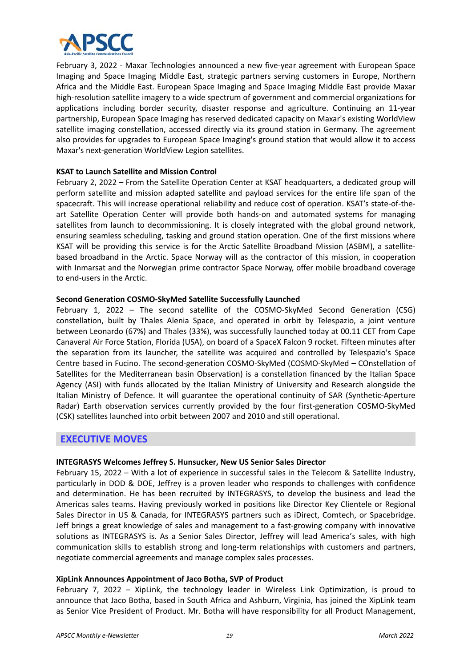

February 3, 2022 ‐ Maxar Technologies announced a new five‐year agreement with European Space Imaging and Space Imaging Middle East, strategic partners serving customers in Europe, Northern Africa and the Middle East. European Space Imaging and Space Imaging Middle East provide Maxar high-resolution satellite imagery to a wide spectrum of government and commercial organizations for applications including border security, disaster response and agriculture. Continuing an 11-year partnership, European Space Imaging has reserved dedicated capacity on Maxar's existing WorldView satellite imaging constellation, accessed directly via its ground station in Germany. The agreement also provides for upgrades to European Space Imaging's ground station that would allow it to access Maxar's next‐generation WorldView Legion satellites.

#### **KSAT to Launch Satellite and Mission Control**

February 2, 2022 – From the Satellite Operation Center at KSAT headquarters, a dedicated group will perform satellite and mission adapted satellite and payload services for the entire life span of the spacecraft. This will increase operational reliability and reduce cost of operation. KSAT's state-of-theart Satellite Operation Center will provide both hands‐on and automated systems for managing satellites from launch to decommissioning. It is closely integrated with the global ground network, ensuring seamless scheduling, tasking and ground station operation. One of the first missions where KSAT will be providing this service is for the Arctic Satellite Broadband Mission (ASBM), a satellitebased broadband in the Arctic. Space Norway will as the contractor of this mission, in cooperation with Inmarsat and the Norwegian prime contractor Space Norway, offer mobile broadband coverage to end‐users in the Arctic.

#### **Second Generation COSMO‐SkyMed Satellite Successfully Launched**

February 1, 2022 – The second satellite of the COSMO-SkyMed Second Generation (CSG) constellation, built by Thales Alenia Space, and operated in orbit by Telespazio, a joint venture between Leonardo (67%) and Thales (33%), was successfully launched today at 00.11 CET from Cape Canaveral Air Force Station, Florida (USA), on board of a SpaceX Falcon 9 rocket. Fifteen minutes after the separation from its launcher, the satellite was acquired and controlled by Telespazio's Space Centre based in Fucino. The second‐generation COSMO‐SkyMed (COSMO‐SkyMed – COnstellation of Satellites for the Mediterranean basin Observation) is a constellation financed by the Italian Space Agency (ASI) with funds allocated by the Italian Ministry of University and Research alongside the Italian Ministry of Defence. It will guarantee the operational continuity of SAR (Synthetic‐Aperture Radar) Earth observation services currently provided by the four first-generation COSMO-SkyMed (CSK) satellites launched into orbit between 2007 and 2010 and still operational.

# **EXECUTIVE MOVES**

#### **INTEGRASYS Welcomes Jeffrey S. Hunsucker, New US Senior Sales Director**

February 15, 2022 – With a lot of experience in successful sales in the Telecom & Satellite Industry, particularly in DOD & DOE, Jeffrey is a proven leader who responds to challenges with confidence and determination. He has been recruited by INTEGRASYS, to develop the business and lead the Americas sales teams. Having previously worked in positions like Director Key Clientele or Regional Sales Director in US & Canada, for INTEGRASYS partners such as iDirect, Comtech, or Spacebridge. Jeff brings a great knowledge of sales and management to a fast‐growing company with innovative solutions as INTEGRASYS is. As a Senior Sales Director, Jeffrey will lead America's sales, with high communication skills to establish strong and long-term relationships with customers and partners, negotiate commercial agreements and manage complex sales processes.

#### **XipLink Announces Appointment of Jaco Botha, SVP of Product**

February 7, 2022 - XipLink, the technology leader in Wireless Link Optimization, is proud to announce that Jaco Botha, based in South Africa and Ashburn, Virginia, has joined the XipLink team as Senior Vice President of Product. Mr. Botha will have responsibility for all Product Management,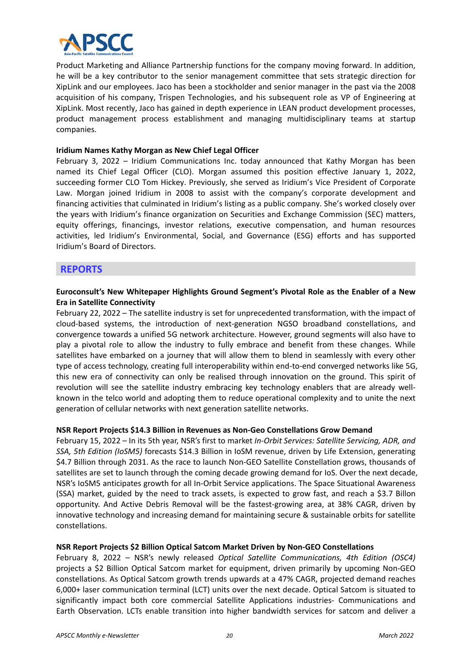

Product Marketing and Alliance Partnership functions for the company moving forward. In addition, he will be a key contributor to the senior management committee that sets strategic direction for XipLink and our employees. Jaco has been a stockholder and senior manager in the past via the 2008 acquisition of his company, Trispen Technologies, and his subsequent role as VP of Engineering at XipLink. Most recently, Jaco has gained in depth experience in LEAN product development processes, product management process establishment and managing multidisciplinary teams at startup companies.

#### **Iridium Names Kathy Morgan as New Chief Legal Officer**

February 3, 2022 – Iridium Communications Inc. today announced that Kathy Morgan has been named its Chief Legal Officer (CLO). Morgan assumed this position effective January 1, 2022, succeeding former CLO Tom Hickey. Previously, she served as Iridium's Vice President of Corporate Law. Morgan joined Iridium in 2008 to assist with the company's corporate development and financing activities that culminated in Iridium's listing as a public company. She's worked closely over the years with Iridium's finance organization on Securities and Exchange Commission (SEC) matters, equity offerings, financings, investor relations, executive compensation, and human resources activities, led Iridium's Environmental, Social, and Governance (ESG) efforts and has supported Iridium's Board of Directors.

# **REPORTS**

### **Euroconsult's New Whitepaper Highlights Ground Segment's Pivotal Role as the Enabler of a New Era in Satellite Connectivity**

February 22, 2022 – The satellite industry is set for unprecedented transformation, with the impact of cloud-based systems, the introduction of next-generation NGSO broadband constellations, and convergence towards a unified 5G network architecture. However, ground segments will also have to play a pivotal role to allow the industry to fully embrace and benefit from these changes. While satellites have embarked on a journey that will allow them to blend in seamlessly with every other type of access technology, creating full interoperability within end-to-end converged networks like 5G, this new era of connectivity can only be realised through innovation on the ground. This spirit of revolution will see the satellite industry embracing key technology enablers that are already wellknown in the telco world and adopting them to reduce operational complexity and to unite the next generation of cellular networks with next generation satellite networks.

#### **NSR Report Projects \$14.3 Billion in Revenues as Non‐Geo Constellations Grow Demand**

February 15, 2022 – In its 5th year, NSR's first to market *In‐Orbit Services: Satellite Servicing, ADR, and SSA, 5th Edition (IoSM5)* forecasts \$14.3 Billion in IoSM revenue, driven by Life Extension, generating \$4.7 Billion through 2031. As the race to launch Non-GEO Satellite Constellation grows, thousands of satellites are set to launch through the coming decade growing demand for IoS. Over the next decade, NSR's IoSM5 anticipates growth for all In‐Orbit Service applications. The Space Situational Awareness (SSA) market, guided by the need to track assets, is expected to grow fast, and reach a \$3.7 Billon opportunity. And Active Debris Removal will be the fastest‐growing area, at 38% CAGR, driven by innovative technology and increasing demand for maintaining secure & sustainable orbits for satellite constellations.

#### **NSR Report Projects \$2 Billion Optical Satcom Market Driven by Non‐GEO Constellations**

February 8, 2022 – NSR's newly released *Optical Satellite Communications, 4th Edition (OSC4)* projects a \$2 Billion Optical Satcom market for equipment, driven primarily by upcoming Non‐GEO constellations. As Optical Satcom growth trends upwards at a 47% CAGR, projected demand reaches 6,000+ laser communication terminal (LCT) units over the next decade. Optical Satcom is situated to significantly impact both core commercial Satellite Applications industries- Communications and Earth Observation. LCTs enable transition into higher bandwidth services for satcom and deliver a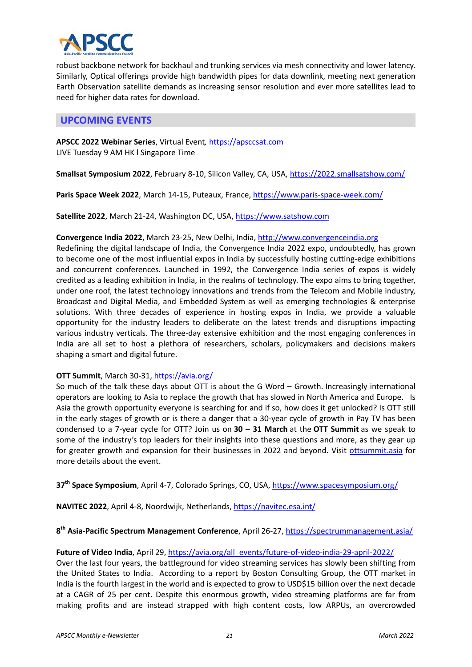

robust backbone network for backhaul and trunking services via mesh connectivity and lower latency. Similarly, Optical offerings provide high bandwidth pipes for data downlink, meeting next generation Earth Observation satellite demands as increasing sensor resolution and ever more satellites lead to need for higher data rates for download.

# **UPCOMING EVENTS**

**APSCC 2022 Webinar Series**, Virtual Event*,* https://apsccsat.com LIVE Tuesday 9 AM HK l Singapore Time

**Smallsat Symposium 2022**, February 8‐10, Silicon Valley, CA, USA, https://2022.smallsatshow.com/

**Paris Space Week 2022**, March 14‐15, Puteaux, France, https://www.paris‐space‐week.com/

Satellite 2022, March 21-24, Washington DC, USA, https://www.satshow.com

#### **Convergence India 2022**, March 23‐25, New Delhi, India, http://www.convergenceindia.org

Redefining the digital landscape of India, the Convergence India 2022 expo, undoubtedly, has grown to become one of the most influential expos in India by successfully hosting cutting-edge exhibitions and concurrent conferences. Launched in 1992, the Convergence India series of expos is widely credited as a leading exhibition in India, in the realms of technology. The expo aims to bring together, under one roof, the latest technology innovations and trends from the Telecom and Mobile industry, Broadcast and Digital Media, and Embedded System as well as emerging technologies & enterprise solutions. With three decades of experience in hosting expos in India, we provide a valuable opportunity for the industry leaders to deliberate on the latest trends and disruptions impacting various industry verticals. The three‐day extensive exhibition and the most engaging conferences in India are all set to host a plethora of researchers, scholars, policymakers and decisions makers shaping a smart and digital future.

#### **OTT Summit**, March 30‐31, https://avia.org/

So much of the talk these days about OTT is about the G Word – Growth. Increasingly international operators are looking to Asia to replace the growth that has slowed in North America and Europe. Is Asia the growth opportunity everyone is searching for and if so, how does it get unlocked? Is OTT still in the early stages of growth or is there a danger that a 30-year cycle of growth in Pay TV has been condensed to a 7‐year cycle for OTT? Join us on **30 – 31 March** at the **OTT Summit** as we speak to some of the industry's top leaders for their insights into these questions and more, as they gear up for greater growth and expansion for their businesses in 2022 and beyond. Visit ottsummit.asia for more details about the event.

**37th Space Symposium**, April 4‐7, Colorado Springs, CO, USA, https://www.spacesymposium.org/

**NAVITEC 2022**, April 4‐8, Noordwijk, Netherlands, https://navitec.esa.int/

**8th Asia‐Pacific Spectrum Management Conference**, April 26‐27, https://spectrummanagement.asia/

#### Future of Video India, April 29, https://avia.org/all\_events/future-of-video-india-29-april-2022/

Over the last four years, the battleground for video streaming services has slowly been shifting from the United States to India. According to a report by Boston Consulting Group, the OTT market in India is the fourth largest in the world and is expected to grow to USD\$15 billion over the next decade at a CAGR of 25 per cent. Despite this enormous growth, video streaming platforms are far from making profits and are instead strapped with high content costs, low ARPUs, an overcrowded